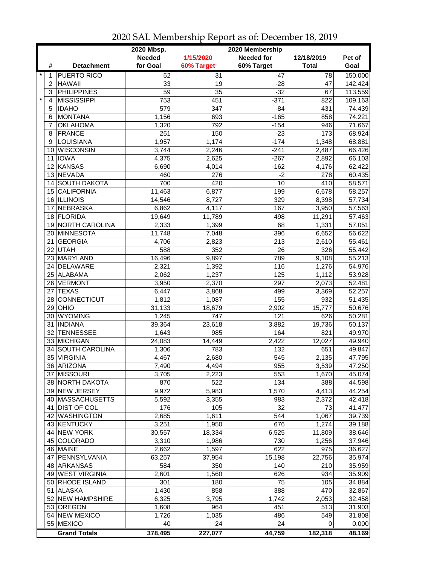|         |                 | 2020 Mbsp.<br>2020 Membership |                 |                  |                   |              |         |  |
|---------|-----------------|-------------------------------|-----------------|------------------|-------------------|--------------|---------|--|
|         |                 |                               | <b>Needed</b>   | 1/15/2020        | <b>Needed for</b> | 12/18/2019   | Pct of  |  |
|         | #               | <b>Detachment</b>             | for Goal        | 60% Target       | 60% Target        | <b>Total</b> | Goal    |  |
| $\ast$  | 1               | <b>PUERTO RICO</b>            | 52              | $\overline{31}$  | $-47$             | 78           | 150.000 |  |
|         | $\overline{c}$  | <b>HAWAII</b>                 | 33              | 19               | $-28$             | 47           | 142.424 |  |
|         | 3               | <b>PHILIPPINES</b>            | $\overline{59}$ | 35               | $-32$             | 67           | 113.559 |  |
| $\star$ | $\overline{4}$  | <b>MISSISSIPPI</b>            | 753             | 451              | $-371$            | 822          | 109.163 |  |
|         | 5               | <b>IDAHO</b>                  | 579             | $\overline{347}$ | $-84$             | 431          | 74.439  |  |
|         | 6               | <b>MONTANA</b>                | 1,156           | 693              | $-165$            | 858          | 74.221  |  |
|         | 7               | <b>OKLAHOMA</b>               | 1,320           | 792              | $-154$            | 946          | 71.667  |  |
|         | 8               | <b>FRANCE</b>                 | 251             | 150              | $-23$             | 173          | 68.924  |  |
|         | 9               | LOUISIANA                     | 1,957           | 1,174            | $-174$            | 1,348        | 68.881  |  |
|         | 10              | <b>WISCONSIN</b>              | 3,744           | 2,246            | $-241$            | 2,487        | 66.426  |  |
|         | 11              | <b>IOWA</b>                   | 4,375           | 2,625            | $-267$            | 2,892        | 66.103  |  |
|         |                 |                               |                 |                  |                   |              |         |  |
|         | 12              | KANSAS                        | 6,690           | 4,014            | $-162$            | 4,176        | 62.422  |  |
|         |                 | 13 NEVADA                     | 460             | 276              | $-2$              | 278          | 60.435  |  |
|         | 14              | <b>SOUTH DAKOTA</b>           | 700             | 420              | 10                | 410          | 58.571  |  |
|         | 15              | <b>CALIFORNIA</b>             | 11,463          | 6,877            | 199               | 6,678        | 58.257  |  |
|         |                 | 16 ILLINOIS                   | 14,546          | 8,727            | 329               | 8,398        | 57.734  |  |
|         | 17              | <b>NEBRASKA</b>               | 6,862           | 4,117            | 167               | 3,950        | 57.563  |  |
|         | 18              | <b>FLORIDA</b>                | 19,649          | 11,789           | 498               | 11,291       | 57.463  |  |
|         | 19              | <b>NORTH CAROLINA</b>         | 2,333           | 1,399            | 68                | 1,331        | 57.051  |  |
|         |                 | 20 MINNESOTA                  | 11,748          | 7,048            | 396               | 6,652        | 56.622  |  |
|         | 21              | <b>GEORGIA</b>                | 4,706           | 2,823            | 213               | 2,610        | 55.461  |  |
|         |                 | 22 UTAH                       | 588             | 352              | $\overline{26}$   | 326          | 55.442  |  |
|         |                 | 23 MARYLAND                   | 16,496          | 9,897            | 789               | 9,108        | 55.213  |  |
|         | 24              | DELAWARE                      | 2,321           | 1,392            | 116               | 1,276        | 54.976  |  |
|         | 25 <sup>1</sup> | ALABAMA                       | 2,062           | 1,237            | 125               | 1,112        | 53.928  |  |
|         | 26              | <b>VERMONT</b>                | 3,950           | 2,370            | 297               | 2,073        | 52.481  |  |
|         | 27              | <b>TEXAS</b>                  | 6,447           | 3,868            | 499               | 3,369        | 52.257  |  |
|         | 28              | <b>CONNECTICUT</b>            | 1,812           | 1,087            | 155               | 932          | 51.435  |  |
|         | 29              | OHIO                          | 31,133          | 18,679           | 2,902             | 15,777       | 50.676  |  |
|         | 30              | <b>WYOMING</b>                | 1,245           | 747              | 121               | 626          | 50.281  |  |
|         | 31              | <b>INDIANA</b>                | 39,364          | 23,618           | 3,882             | 19,736       | 50.137  |  |
|         | 32              | <b>TENNESSEE</b>              | 1,643           | 985              | 164               | 821          | 49.970  |  |
|         |                 | 33 MICHIGAN                   | 24,083          | 14,449           | 2,422             | 12,027       | 49.940  |  |
|         | 34              | <b>SOUTH CAROLINA</b>         | 1,306           | 783              | 132               | 651          | 49.847  |  |
|         | 35              | <b>VIRGINIA</b>               | 4,467           | 2,680            | 545               | 2,135        | 47.795  |  |
|         |                 | 36 ARIZONA                    | 7,490           | 4,494            | $\overline{955}$  | 3,539        | 47.250  |  |
|         |                 | 37 MISSOURI                   | 3,705           | 2,223            | 553               | 1,670        | 45.074  |  |
|         |                 | 38 NORTH DAKOTA               | 870             | 522              | 134               | 388          | 44.598  |  |
|         |                 | 39 NEW JERSEY                 | 9,972           | 5,983            | 1,570             | 4,413        | 44.254  |  |
|         |                 | 40   MASSACHUSETTS            | 5,592           | 3,355            | 983               | 2,372        | 42.418  |  |
|         | 41              | <b>DIST OF COL</b>            | 176             | 105              | 32                | 73           | 41.477  |  |
|         |                 | 42 WASHINGTON                 | 2,685           | 1,611            | 544               | 1,067        | 39.739  |  |
|         |                 | 43 KENTUCKY                   | 3,251           | 1,950            | 676               | 1,274        | 39.188  |  |
|         | 44              | <b>NEW YORK</b>               | 30,557          | 18,334           | 6,525             | 11,809       | 38.646  |  |
|         |                 | 45 COLORADO                   | 3,310           | 1,986            | 730               | 1,256        | 37.946  |  |
|         |                 | 46 MAINE                      | 2,662           | 1,597            | 622               | 975          | 36.627  |  |
|         | 47              | PENNSYLVANIA                  | 63,257          | 37,954           | 15,198            | 22,756       | 35.974  |  |
|         |                 | 48 ARKANSAS                   | 584             | 350              | 140               | 210          | 35.959  |  |
|         |                 | 49 WEST VIRGINIA              | 2,601           | 1,560            | 626               | 934          | 35.909  |  |
|         |                 | 50 RHODE ISLAND               | 301             | 180              | 75                | 105          | 34.884  |  |
|         | 51              | <b>ALASKA</b>                 | 1,430           | 858              | 388               | 470          | 32.867  |  |
|         |                 | 52 NEW HAMPSHIRE              | 6,325           | 3,795            | 1,742             | 2,053        | 32.458  |  |
|         |                 | 53 OREGON                     | 1,608           | 964              | 451               | 513          | 31.903  |  |
|         |                 | 54 NEW MEXICO                 | 1,726           | 1,035            | 486               | 549          | 31.808  |  |
|         |                 | 55 MEXICO                     | 40              | 24               | 24                | 0            | 0.000   |  |
|         |                 |                               |                 |                  |                   |              |         |  |
|         |                 | <b>Grand Totals</b>           | 378,495         | 227,077          | 44,759            | 182,318      | 48.169  |  |

2020 SAL Membership Report as of: December 18, 2019